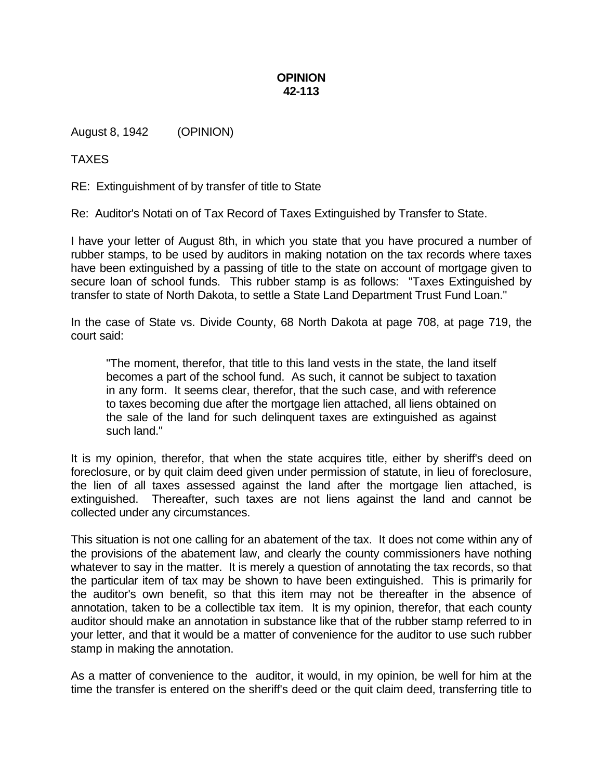## **OPINION 42-113**

August 8, 1942 (OPINION)

TAXES

RE: Extinguishment of by transfer of title to State

Re: Auditor's Notati on of Tax Record of Taxes Extinguished by Transfer to State.

I have your letter of August 8th, in which you state that you have procured a number of rubber stamps, to be used by auditors in making notation on the tax records where taxes have been extinguished by a passing of title to the state on account of mortgage given to secure loan of school funds. This rubber stamp is as follows: "Taxes Extinguished by transfer to state of North Dakota, to settle a State Land Department Trust Fund Loan."

In the case of State vs. Divide County, 68 North Dakota at page 708, at page 719, the court said:

"The moment, therefor, that title to this land vests in the state, the land itself becomes a part of the school fund. As such, it cannot be subject to taxation in any form. It seems clear, therefor, that the such case, and with reference to taxes becoming due after the mortgage lien attached, all liens obtained on the sale of the land for such delinquent taxes are extinguished as against such land."

It is my opinion, therefor, that when the state acquires title, either by sheriff's deed on foreclosure, or by quit claim deed given under permission of statute, in lieu of foreclosure, the lien of all taxes assessed against the land after the mortgage lien attached, is extinguished. Thereafter, such taxes are not liens against the land and cannot be collected under any circumstances.

This situation is not one calling for an abatement of the tax. It does not come within any of the provisions of the abatement law, and clearly the county commissioners have nothing whatever to say in the matter. It is merely a question of annotating the tax records, so that the particular item of tax may be shown to have been extinguished. This is primarily for the auditor's own benefit, so that this item may not be thereafter in the absence of annotation, taken to be a collectible tax item. It is my opinion, therefor, that each county auditor should make an annotation in substance like that of the rubber stamp referred to in your letter, and that it would be a matter of convenience for the auditor to use such rubber stamp in making the annotation.

As a matter of convenience to the auditor, it would, in my opinion, be well for him at the time the transfer is entered on the sheriff's deed or the quit claim deed, transferring title to